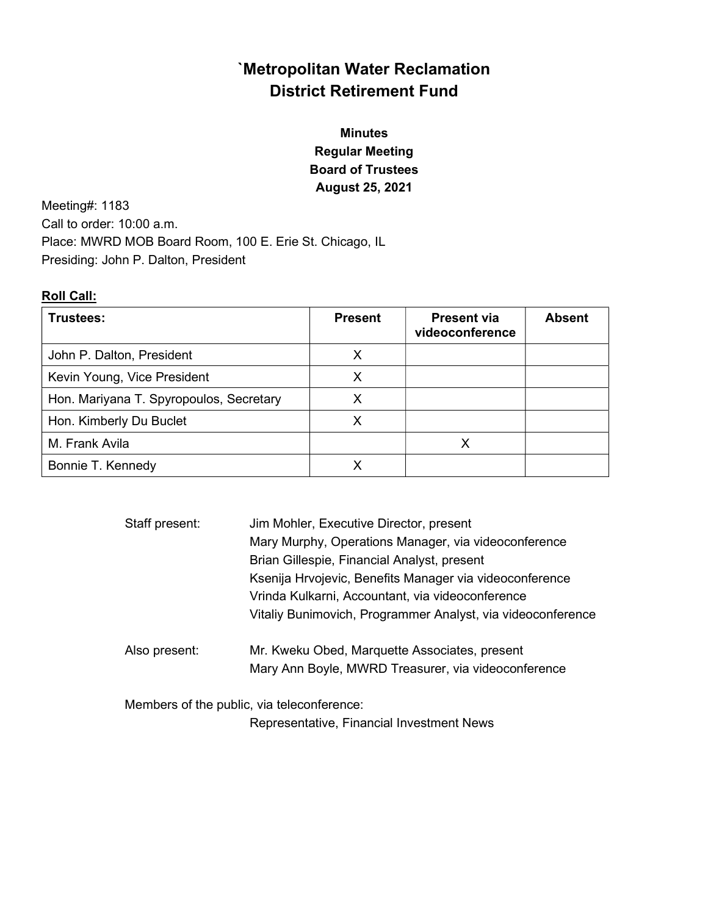# `Metropolitan Water Reclamation District Retirement Fund

# Minutes Regular Meeting Board of Trustees August 25, 2021

Meeting#: 1183 Call to order: 10:00 a.m. Place: MWRD MOB Board Room, 100 E. Erie St. Chicago, IL Presiding: John P. Dalton, President

## Roll Call:

| Trustees:                               | <b>Present</b> | <b>Present via</b><br>videoconference | <b>Absent</b> |
|-----------------------------------------|----------------|---------------------------------------|---------------|
| John P. Dalton, President               | x              |                                       |               |
| Kevin Young, Vice President             | Х              |                                       |               |
| Hon. Mariyana T. Spyropoulos, Secretary | х              |                                       |               |
| Hon. Kimberly Du Buclet                 | X              |                                       |               |
| M. Frank Avila                          |                |                                       |               |
| Bonnie T. Kennedy                       |                |                                       |               |

| Staff present: | Jim Mohler, Executive Director, present                     |
|----------------|-------------------------------------------------------------|
|                | Mary Murphy, Operations Manager, via videoconference        |
|                | Brian Gillespie, Financial Analyst, present                 |
|                | Ksenija Hrvojevic, Benefits Manager via videoconference     |
|                | Vrinda Kulkarni, Accountant, via videoconference            |
|                | Vitaliy Bunimovich, Programmer Analyst, via videoconference |
| Also present:  | Mr. Kweku Obed, Marquette Associates, present               |
|                | Mary Ann Boyle, MWRD Treasurer, via videoconference         |
|                | Members of the public, via teleconference:                  |
|                | Representative, Financial Investment News                   |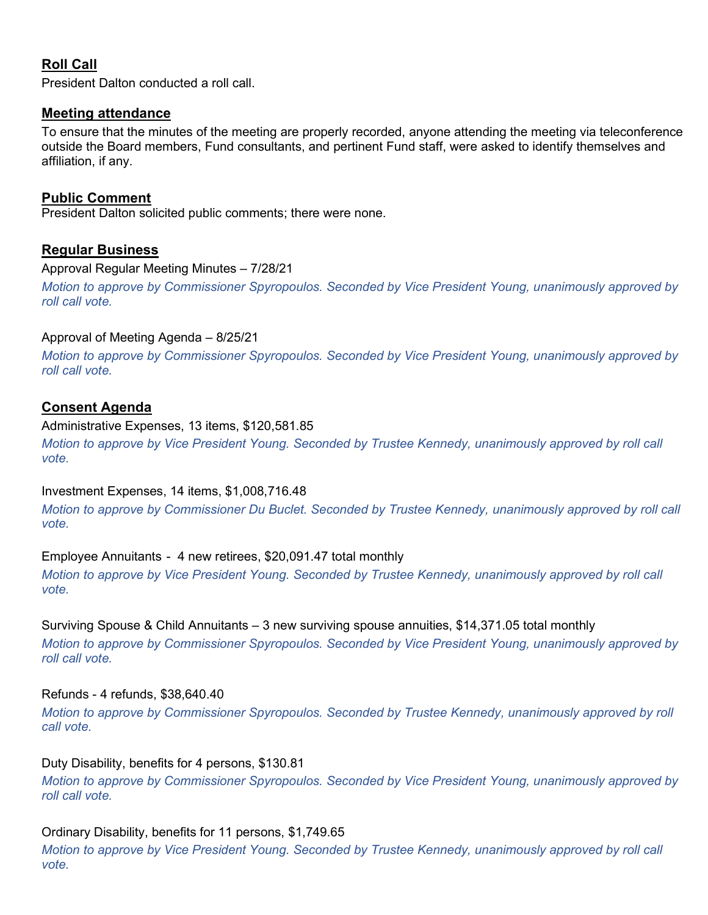# Roll Call

President Dalton conducted a roll call.

## Meeting attendance

To ensure that the minutes of the meeting are properly recorded, anyone attending the meeting via teleconference outside the Board members, Fund consultants, and pertinent Fund staff, were asked to identify themselves and affiliation, if any.

## Public Comment

President Dalton solicited public comments; there were none.

## Regular Business

#### Approval Regular Meeting Minutes – 7/28/21

Motion to approve by Commissioner Spyropoulos. Seconded by Vice President Young, unanimously approved by roll call vote.

## Approval of Meeting Agenda – 8/25/21

Motion to approve by Commissioner Spyropoulos. Seconded by Vice President Young, unanimously approved by roll call vote.

## Consent Agenda

## Administrative Expenses, 13 items, \$120,581.85

Motion to approve by Vice President Young. Seconded by Trustee Kennedy, unanimously approved by roll call vote.

## Investment Expenses, 14 items, \$1,008,716.48

Motion to approve by Commissioner Du Buclet. Seconded by Trustee Kennedy, unanimously approved by roll call vote.

## Employee Annuitants - 4 new retirees, \$20,091.47 total monthly

Motion to approve by Vice President Young. Seconded by Trustee Kennedy, unanimously approved by roll call vote.

Surviving Spouse & Child Annuitants – 3 new surviving spouse annuities, \$14,371.05 total monthly Motion to approve by Commissioner Spyropoulos. Seconded by Vice President Young, unanimously approved by roll call vote.

## Refunds - 4 refunds, \$38,640.40

Motion to approve by Commissioner Spyropoulos. Seconded by Trustee Kennedy, unanimously approved by roll call vote.

## Duty Disability, benefits for 4 persons, \$130.81

Motion to approve by Commissioner Spyropoulos. Seconded by Vice President Young, unanimously approved by roll call vote.

## Ordinary Disability, benefits for 11 persons, \$1,749.65

Motion to approve by Vice President Young. Seconded by Trustee Kennedy, unanimously approved by roll call vote.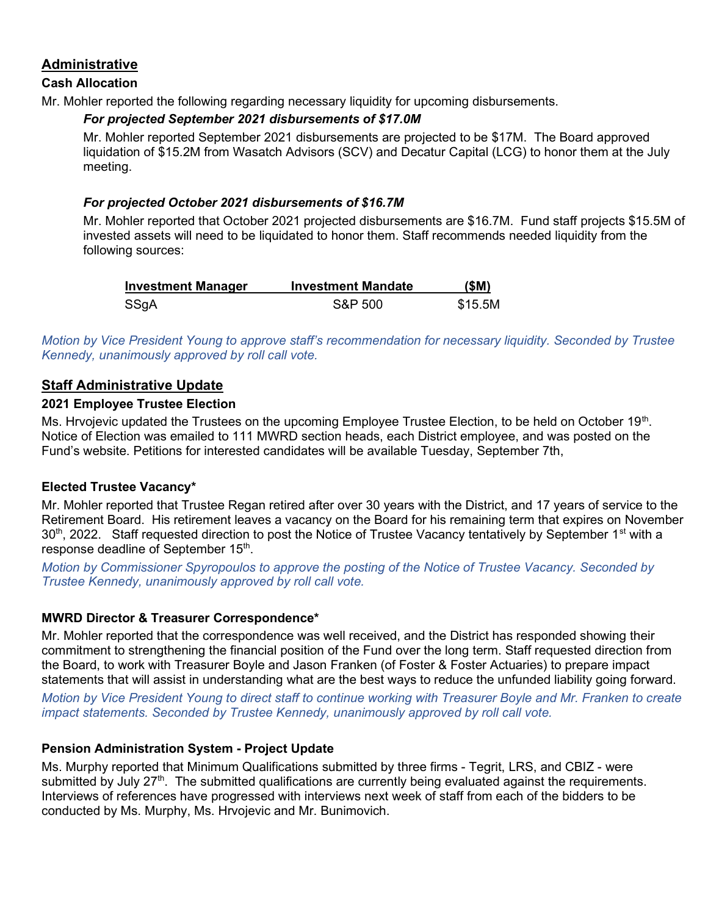## Administrative

## Cash Allocation

Mr. Mohler reported the following regarding necessary liquidity for upcoming disbursements.

## For projected September 2021 disbursements of \$17.0M

Mr. Mohler reported September 2021 disbursements are projected to be \$17M. The Board approved liquidation of \$15.2M from Wasatch Advisors (SCV) and Decatur Capital (LCG) to honor them at the July meeting.

## For projected October 2021 disbursements of \$16.7M

Mr. Mohler reported that October 2021 projected disbursements are \$16.7M. Fund staff projects \$15.5M of invested assets will need to be liquidated to honor them. Staff recommends needed liquidity from the following sources:

| <b>Investment Manager</b> | <b>Investment Mandate</b> | (\$M)   |
|---------------------------|---------------------------|---------|
| SSgA                      | S&P 500                   | \$15.5M |

Motion by Vice President Young to approve staff's recommendation for necessary liquidity. Seconded by Trustee Kennedy, unanimously approved by roll call vote.

## Staff Administrative Update

## 2021 Employee Trustee Election

Ms. Hrvojevic updated the Trustees on the upcoming Employee Trustee Election, to be held on October 19<sup>th</sup>. Notice of Election was emailed to 111 MWRD section heads, each District employee, and was posted on the Fund's website. Petitions for interested candidates will be available Tuesday, September 7th,

## Elected Trustee Vacancy\*

Mr. Mohler reported that Trustee Regan retired after over 30 years with the District, and 17 years of service to the Retirement Board. His retirement leaves a vacancy on the Board for his remaining term that expires on November  $30<sup>th</sup>$ , 2022. Staff requested direction to post the Notice of Trustee Vacancy tentatively by September 1<sup>st</sup> with a response deadline of September 15<sup>th</sup>.

Motion by Commissioner Spyropoulos to approve the posting of the Notice of Trustee Vacancy. Seconded by Trustee Kennedy, unanimously approved by roll call vote.

## MWRD Director & Treasurer Correspondence\*

Mr. Mohler reported that the correspondence was well received, and the District has responded showing their commitment to strengthening the financial position of the Fund over the long term. Staff requested direction from the Board, to work with Treasurer Boyle and Jason Franken (of Foster & Foster Actuaries) to prepare impact statements that will assist in understanding what are the best ways to reduce the unfunded liability going forward.

Motion by Vice President Young to direct staff to continue working with Treasurer Boyle and Mr. Franken to create impact statements. Seconded by Trustee Kennedy, unanimously approved by roll call vote.

## Pension Administration System - Project Update

Ms. Murphy reported that Minimum Qualifications submitted by three firms - Tegrit, LRS, and CBIZ - were submitted by July 27<sup>th</sup>. The submitted qualifications are currently being evaluated against the requirements. Interviews of references have progressed with interviews next week of staff from each of the bidders to be conducted by Ms. Murphy, Ms. Hrvojevic and Mr. Bunimovich.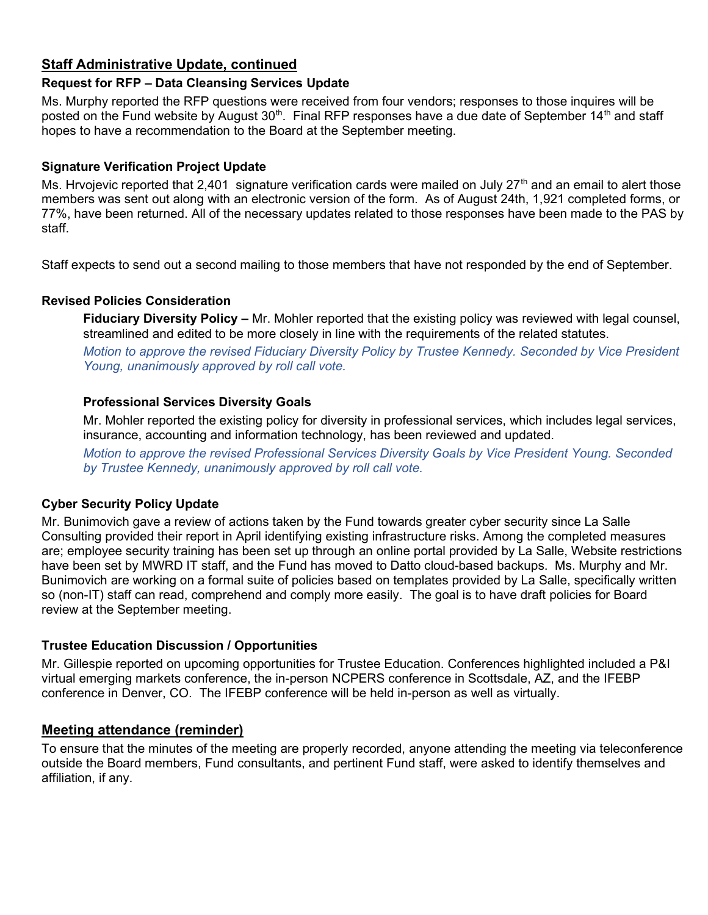# Staff Administrative Update, continued

## Request for RFP – Data Cleansing Services Update

Ms. Murphy reported the RFP questions were received from four vendors; responses to those inquires will be posted on the Fund website by August 30<sup>th</sup>. Final RFP responses have a due date of September 14<sup>th</sup> and staff hopes to have a recommendation to the Board at the September meeting.

## Signature Verification Project Update

Ms. Hrvojevic reported that 2,401 signature verification cards were mailed on July 27<sup>th</sup> and an email to alert those members was sent out along with an electronic version of the form. As of August 24th, 1,921 completed forms, or 77%, have been returned. All of the necessary updates related to those responses have been made to the PAS by staff.

Staff expects to send out a second mailing to those members that have not responded by the end of September.

## Revised Policies Consideration

Fiduciary Diversity Policy – Mr. Mohler reported that the existing policy was reviewed with legal counsel, streamlined and edited to be more closely in line with the requirements of the related statutes.

Motion to approve the revised Fiduciary Diversity Policy by Trustee Kennedy. Seconded by Vice President Young, unanimously approved by roll call vote.

#### Professional Services Diversity Goals

Mr. Mohler reported the existing policy for diversity in professional services, which includes legal services, insurance, accounting and information technology, has been reviewed and updated.

Motion to approve the revised Professional Services Diversity Goals by Vice President Young. Seconded by Trustee Kennedy, unanimously approved by roll call vote.

## Cyber Security Policy Update

Mr. Bunimovich gave a review of actions taken by the Fund towards greater cyber security since La Salle Consulting provided their report in April identifying existing infrastructure risks. Among the completed measures are; employee security training has been set up through an online portal provided by La Salle, Website restrictions have been set by MWRD IT staff, and the Fund has moved to Datto cloud-based backups. Ms. Murphy and Mr. Bunimovich are working on a formal suite of policies based on templates provided by La Salle, specifically written so (non-IT) staff can read, comprehend and comply more easily. The goal is to have draft policies for Board review at the September meeting.

#### Trustee Education Discussion / Opportunities

Mr. Gillespie reported on upcoming opportunities for Trustee Education. Conferences highlighted included a P&I virtual emerging markets conference, the in-person NCPERS conference in Scottsdale, AZ, and the IFEBP conference in Denver, CO. The IFEBP conference will be held in-person as well as virtually.

## Meeting attendance (reminder)

To ensure that the minutes of the meeting are properly recorded, anyone attending the meeting via teleconference outside the Board members, Fund consultants, and pertinent Fund staff, were asked to identify themselves and affiliation, if any.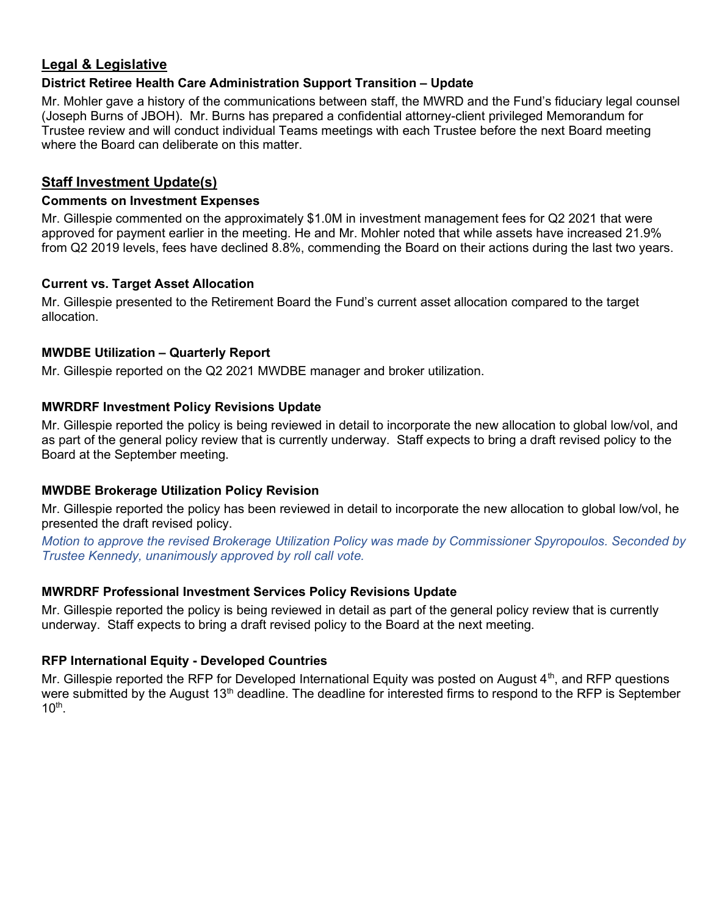## Legal & Legislative

## District Retiree Health Care Administration Support Transition – Update

Mr. Mohler gave a history of the communications between staff, the MWRD and the Fund's fiduciary legal counsel (Joseph Burns of JBOH). Mr. Burns has prepared a confidential attorney-client privileged Memorandum for Trustee review and will conduct individual Teams meetings with each Trustee before the next Board meeting where the Board can deliberate on this matter.

## Staff Investment Update(s)

#### Comments on Investment Expenses

Mr. Gillespie commented on the approximately \$1.0M in investment management fees for Q2 2021 that were approved for payment earlier in the meeting. He and Mr. Mohler noted that while assets have increased 21.9% from Q2 2019 levels, fees have declined 8.8%, commending the Board on their actions during the last two years.

#### Current vs. Target Asset Allocation

Mr. Gillespie presented to the Retirement Board the Fund's current asset allocation compared to the target allocation.

## MWDBE Utilization – Quarterly Report

Mr. Gillespie reported on the Q2 2021 MWDBE manager and broker utilization.

## MWRDRF Investment Policy Revisions Update

Mr. Gillespie reported the policy is being reviewed in detail to incorporate the new allocation to global low/vol, and as part of the general policy review that is currently underway. Staff expects to bring a draft revised policy to the Board at the September meeting.

## MWDBE Brokerage Utilization Policy Revision

Mr. Gillespie reported the policy has been reviewed in detail to incorporate the new allocation to global low/vol, he presented the draft revised policy.

Motion to approve the revised Brokerage Utilization Policy was made by Commissioner Spyropoulos. Seconded by Trustee Kennedy, unanimously approved by roll call vote.

## MWRDRF Professional Investment Services Policy Revisions Update

Mr. Gillespie reported the policy is being reviewed in detail as part of the general policy review that is currently underway. Staff expects to bring a draft revised policy to the Board at the next meeting.

## RFP International Equity - Developed Countries

Mr. Gillespie reported the RFP for Developed International Equity was posted on August  $4<sup>th</sup>$ , and RFP questions were submitted by the August 13<sup>th</sup> deadline. The deadline for interested firms to respond to the RFP is September  $10<sup>th</sup>$ .